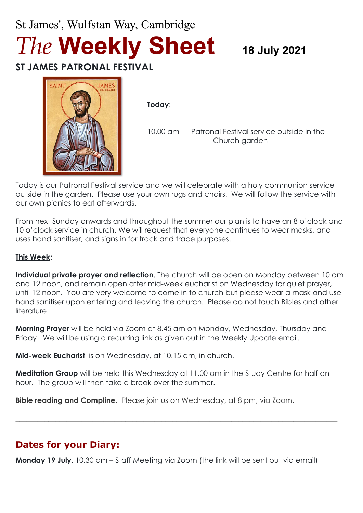# St James', Wulfstan Way, Cambridge *The* **Weekly Sheet <sup>18</sup> July <sup>2021</sup>**

## **ST JAMES PATRONAL FESTIVAL**



**Today**:

10.00 am Patronal Festival service outside in the Church garden

Today is our Patronal Festival service and we will celebrate with a holy communion service outside in the garden. Please use your own rugs and chairs. We will follow the service with our own picnics to eat afterwards.

From next Sunday onwards and throughout the summer our plan is to have an 8 o'clock and 10 o'clock service in church. We will request that everyone continues to wear masks, and uses hand sanitiser, and signs in for track and trace purposes.

#### **This Week:**

**Individua**l **private prayer and reflection**. The church will be open on Monday between 10 am and 12 noon, and remain open after mid-week eucharist on Wednesday for quiet prayer, until 12 noon. You are very welcome to come in to church but please wear a mask and use hand sanitiser upon entering and leaving the church. Please do not touch Bibles and other literature.

**Morning Prayer** will be held via Zoom at 8.45 am on Monday, Wednesday, Thursday and Friday. We will be using a recurring link as given out in the Weekly Update email.

**Mid-week Eucharist** is on Wednesday, at 10.15 am, in church.

**Meditation Group** will be held this Wednesday at 11.00 am in the Study Centre for half an hour. The group will then take a break over the summer.

 $\_$  , and the set of the set of the set of the set of the set of the set of the set of the set of the set of the set of the set of the set of the set of the set of the set of the set of the set of the set of the set of th

**Bible reading and Compline.** Please join us on Wednesday, at 8 pm, via Zoom.

## **Dates for your Diary:**

**Monday 19 July,** 10.30 am – Staff Meeting via Zoom (the link will be sent out via email)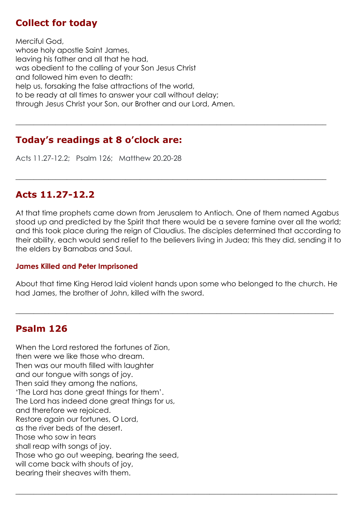## **Collect for today**

Merciful God, whose holy apostle Saint James, leaving his father and all that he had, was obedient to the calling of your Son Jesus Christ and followed him even to death: help us, forsaking the false attractions of the world, to be ready at all times to answer your call without delay; through Jesus Christ your Son, our Brother and our Lord, Amen.

## **Today's readings at 8 o'clock are:**

Acts 11.27-12.2; Psalm 126; Matthew 20.20-28

### **Acts 11.27-12.2**

At that time prophets came down from Jerusalem to Antioch. One of them named Agabus stood up and predicted by the Spirit that there would be a severe famine over all the world; and this took place during the reign of Claudius. The disciples determined that according to their ability, each would send relief to the believers living in Judea; this they did, sending it to the elders by Barnabas and Saul.

**\_\_\_\_\_\_\_\_\_\_\_\_\_\_\_\_\_\_\_\_\_\_\_\_\_\_\_\_\_\_\_\_\_\_\_\_\_\_\_\_\_\_\_\_\_\_\_\_\_\_\_\_\_\_\_\_\_\_\_\_\_\_\_\_\_\_\_\_\_\_\_\_\_\_\_\_\_\_\_\_\_\_\_\_\_**

 $\_$  , and the set of the set of the set of the set of the set of the set of the set of the set of the set of the set of the set of the set of the set of the set of the set of the set of the set of the set of the set of th

#### **James Killed and Peter Imprisoned**

About that time King Herod laid violent hands upon some who belonged to the church. He had James, the brother of John, killed with the sword.

 $\_$  , and the set of the set of the set of the set of the set of the set of the set of the set of the set of the set of the set of the set of the set of the set of the set of the set of the set of the set of the set of th

 $\_$  , and the set of the set of the set of the set of the set of the set of the set of the set of the set of the set of the set of the set of the set of the set of the set of the set of the set of the set of the set of th

## **Psalm 126**

When the Lord restored the fortunes of Zion, then were we like those who dream. Then was our mouth filled with laughter and our tongue with songs of joy. Then said they among the nations, 'The Lord has done great things for them'. The Lord has indeed done great things for us, and therefore we rejoiced. Restore again our fortunes, O Lord, as the river beds of the desert. Those who sow in tears shall reap with songs of joy. Those who go out weeping, bearing the seed, will come back with shouts of joy, bearing their sheaves with them.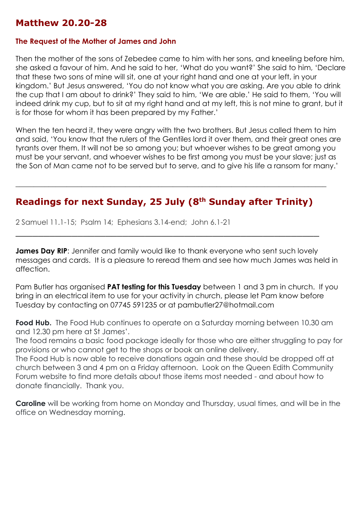## **Matthew 20.20-28**

#### **The Request of the Mother of James and John**

Then the mother of the sons of Zebedee came to him with her sons, and kneeling before him, she asked a favour of him. And he said to her, 'What do you want?' She said to him, 'Declare that these two sons of mine will sit, one at your right hand and one at your left, in your kingdom.' But Jesus answered, 'You do not know what you are asking. Are you able to drink the cup that I am about to drink?' They said to him, 'We are able.' He said to them, 'You will indeed drink my cup, but to sit at my right hand and at my left, this is not mine to grant, but it is for those for whom it has been prepared by my Father.'

When the ten heard it, they were angry with the two brothers. But Jesus called them to him and said, 'You know that the rulers of the Gentiles lord it over them, and their great ones are tyrants over them. It will not be so among you; but whoever wishes to be great among you must be your servant, and whoever wishes to be first among you must be your slave; just as the Son of Man came not to be served but to serve, and to give his life a ransom for many.'

## **Readings for next Sunday, 25 July (8th Sunday after Trinity)**

\_\_\_\_\_\_\_\_\_\_\_\_\_\_\_\_\_\_\_\_\_\_\_\_\_\_\_\_\_\_\_\_\_\_\_\_\_\_\_\_\_\_\_\_\_\_\_\_\_\_\_\_\_\_

 $\_$  , and the set of the set of the set of the set of the set of the set of the set of the set of the set of the set of the set of the set of the set of the set of the set of the set of the set of the set of the set of th

2 Samuel 11.1-15; Psalm 14; Ephesians 3.14-end; John 6.1-21

**James Day RIP:** Jennifer and family would like to thank everyone who sent such lovely messages and cards. It is a pleasure to reread them and see how much James was held in affection.

Pam Butler has organised **PAT testing for this Tuesday** between 1 and 3 pm in church. If you bring in an electrical item to use for your activity in church, please let Pam know before Tuesday by contacting on 07745 591235 or at pambutler27@hotmail.com

**Food Hub.** The Food Hub continues to operate on a Saturday morning between 10.30 am and 12.30 pm here at St James'.

The food remains a basic food package ideally for those who are either struggling to pay for provisions or who cannot get to the shops or book an online delivery.

The Food Hub is now able to receive donations again and these should be dropped off at church between 3 and 4 pm on a Friday afternoon. Look on the Queen Edith Community Forum website to find more details about those items most needed - and about how to donate financially. Thank you.

**Caroline** will be working from home on Monday and Thursday, usual times, and will be in the office on Wednesday morning.